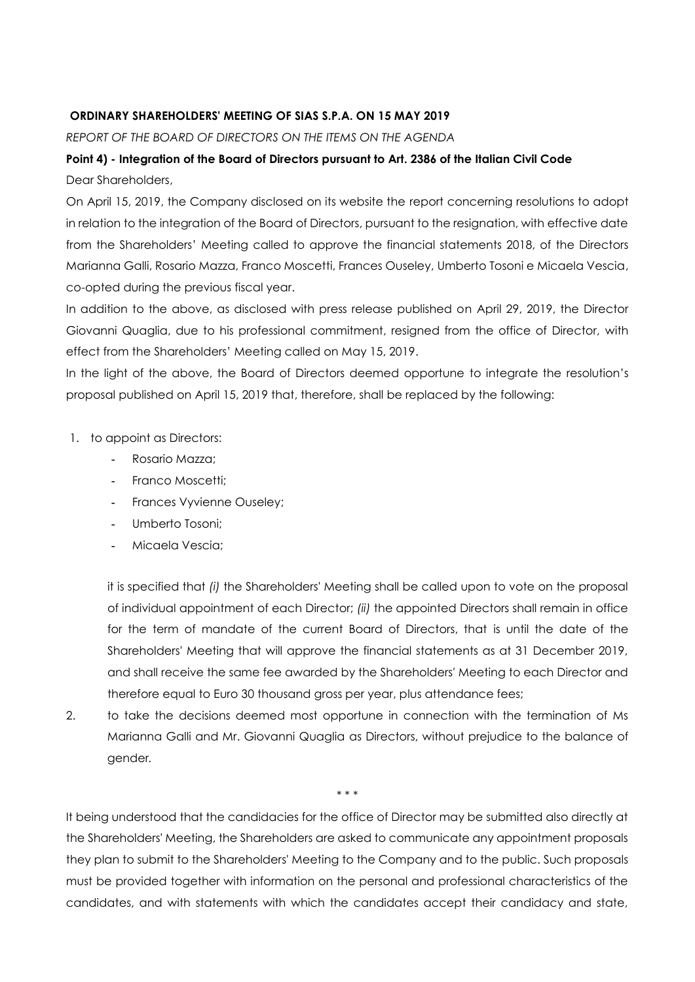## **ORDINARY SHAREHOLDERS' MEETING OF SIAS S.P.A. ON 15 MAY 2019**

*REPORT OF THE BOARD OF DIRECTORS ON THE ITEMS ON THE AGENDA*

## **Point 4) - Integration of the Board of Directors pursuant to Art. 2386 of the Italian Civil Code** Dear Shareholders,

On April 15, 2019, the Company disclosed on its website the report concerning resolutions to adopt in relation to the integration of the Board of Directors, pursuant to the resignation, with effective date from the Shareholders' Meeting called to approve the financial statements 2018, of the Directors Marianna Galli, Rosario Mazza, Franco Moscetti, Frances Ouseley, Umberto Tosoni e Micaela Vescia, co-opted during the previous fiscal year.

In addition to the above, as disclosed with press release published on April 29, 2019, the Director Giovanni Quaglia, due to his professional commitment, resigned from the office of Director, with effect from the Shareholders' Meeting called on May 15, 2019.

In the light of the above, the Board of Directors deemed opportune to integrate the resolution's proposal published on April 15, 2019 that, therefore, shall be replaced by the following:

- 1. to appoint as Directors:
	- **-** Rosario Mazza;
	- **-** Franco Moscetti;
	- **-** Frances Vyvienne Ouseley;
	- **-** Umberto Tosoni;
	- **-** Micaela Vescia;

it is specified that *(i)* the Shareholders' Meeting shall be called upon to vote on the proposal of individual appointment of each Director; *(ii)* the appointed Directors shall remain in office for the term of mandate of the current Board of Directors, that is until the date of the Shareholders' Meeting that will approve the financial statements as at 31 December 2019, and shall receive the same fee awarded by the Shareholders' Meeting to each Director and therefore equal to Euro 30 thousand gross per year, plus attendance fees;

2. to take the decisions deemed most opportune in connection with the termination of Ms Marianna Galli and Mr. Giovanni Quaglia as Directors, without prejudice to the balance of gender*.* 

\* \* \*

It being understood that the candidacies for the office of Director may be submitted also directly at the Shareholders' Meeting, the Shareholders are asked to communicate any appointment proposals they plan to submit to the Shareholders' Meeting to the Company and to the public. Such proposals must be provided together with information on the personal and professional characteristics of the candidates, and with statements with which the candidates accept their candidacy and state,